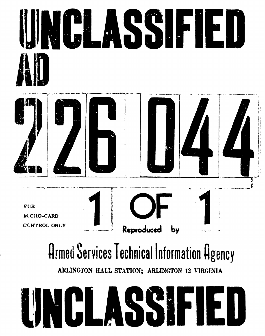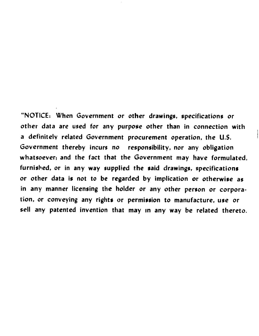"NOTICE: When Government or other drawings, specifications or other data are used for any purpose other than in connection with a definitely related Government procurement operation, the U.S. Government thereby incurs no responsibility, nor any obligation whatsoever; and the fact that the Government may have formulated, furnished, or in any way supplied the said drawings, specifications or other data is not to be regarded **by** implication or otherwise as in any manner licensing the holder or any other person or corporation, or conveying any rights or permission to manufacture, use or sell any patented invention that may in any way be related thereto.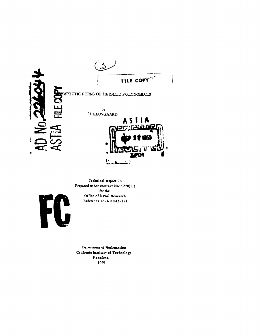

Technical Report 18 Prepared under contract Nonr-220(11) for the Office of Naval Research Reference no. NR 043-121

 $\pmb{s}$ 



Department of Mathematics California Institute of Technology Passdens 1959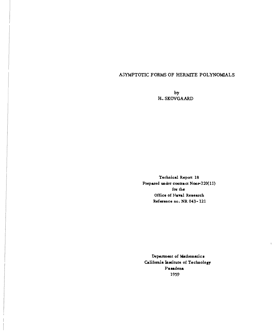### ASYMPTOTIC FORMS OF HERMITE POLYNOMIALS

**by** H. SKOVGAARD

Technical Report **18** Prepared under contract Nonr-220(11) for the Office of **PIaval** Research Reference no. NR 043- 121

Department of **Mathematics** California Institute of Technology **Pasadena 1959**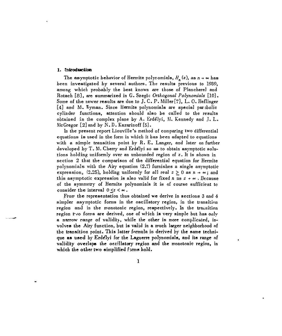#### **1. tntroductton**

The asymptotic behavior of Hermite polyromials,  $H_n(z)$ , as  $n \to \infty$  has been investigated by several authors. The results previous to 1939, among which probably the best known are those of Plancherel and Rotach [8], are summarized in G. Szegö: Orthogonal Polynomials [10]. Some of the newer results are due to J. C. P. Miller [7], L. **0.** fleflinger [4] and M. Wyman. Since Hermite polynomials are special parabolic cylinder functions, attention should also be called to the results obtained in the complex plane by **A.** Erdelyi, **M.** Kennedy and **J.** L. McGregor *[21* and by N. D. Kazarinoff [5].

In the present report Liouville's method of comparing two differential equations is used in the form in which it has been adapted to equations with a simple transition point by R. **E.** Langer, and later on further developed by T. **M.** Cherry and Erdelyi so as to obtain asymptotic solutions holding uniformly over an unbounded region of *z.* It is shown in section 2 that the comparison of the differential equation for Hermite polynomials with the Airy equation (2.7) furnishes a single asymptotic expression, (2.25), holding uniformly for all real  $z \geq 0$  as  $n \to \infty$ ; and this asymptotic expression is also valid for fixed *n* as  $z \rightarrow \infty$ . Because of the symmetry of liermite polynomials it is of course sufficient to consider the interval  $0 \leq z < \infty$ .

From the representation thus obtained we derive in sections 3 and 4 simpler asymptotic forms in the oscillatory region, in the transition region and in the monotonic region, respectively. In the transition region the forms are derived, one of which is very simple but has only a narrow range of validity, while the other is more complicated, involves the Airy function, but is valid in a much larger neighborhood **of** the transition point. This latter formula is derived by the same technique as used **by** Erdelyi for the Laguerre polynomials, and its range of validity overlaps the oscillatory region and the monotonic region, in which the other two simplified forms hold.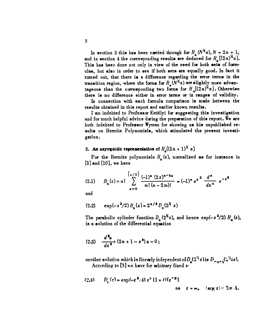In section 3 this has been carried through for  $H_n (N^X x)$ ,  $N = 2n + 1$ , and in section 4 the corresponding results are deduced for  $H_{\mu}[(2n)^{1/2}x]$ . This has been done not only in view of the need for both sets of formulas, but also in order to see if both sets are equally good. In fact it turned out, that there **is** a difference regarding the error terms in the transition region, where the forms for  $H_n(N^k x)$  are slightly more advantageous than the corresponding two forms for  $H_n((2n)^k x)$ . Otherwise there is no difference either in error terms or in **ranges** of validity.

In connection with each formula comparison is made between the results obtained in this report and earlier known results.

I am indebted to Professor Erdélyi for suggesting this investigation and for much helpful advice during the preparation of this report. We are both indebted to Professor Wyman for showing **us** his unpublished results on Hermite Polynomials, which stimulated the present investigation.

# 2. An asymptotic representation of  $H_n[(2n+1)^{1/n}x]$

For the Hermite polynomials  $H_n(z)$ , normalized as for instance in **(3]** and [I0], we have

(2.1) 
$$
H_n(z) = n! \sum_{n=0}^{\left\lfloor n/2 \right\rfloor} \frac{(-1)^n (2z)^{n-2n}}{m!(n-2m)!} = (-1)^n e^{z^2} \frac{d^n}{dz^n} e^{-z^2}
$$

and

$$
(2.2) \quad \exp(-z^2/2) \, H_n(z) = 2^{n/3} \, D_n(2^x \, z)
$$

The parabolic cylinder function  $D_n (2^k z)$ , and hence  $\exp(-z^2/2) H_n(z)$ , is a solution **of** the differential equation

$$
(2.3) \quad \frac{d^2u}{dz^2} + (2n+1-z^2) \, u = 0 \, ;
$$

another solution which is linearly independent of  $D_n(2^{\frac{r}{4}}z)$  is  $D_{n,n+1}(2^{\frac{r}{4}}iz)$ . According to **13] .** e have for arbitrary fixed v

$$
(2.4) \tDk(z) = \exp(-z^2/4) z^2 [1 + \mathcal{O}(z^{-2})]
$$
  
as  $z \to \infty$ ,  $|\arg z| \le 3\pi/4$ .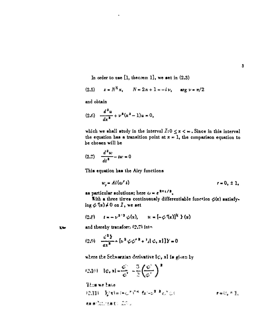In order to use  $[1,$  theorem 1], we set in  $(2.3)$ 

(2.5) 
$$
z = N^{\frac{1}{2}}x
$$
,  $N = 2n + 1 = -i\nu$ ,  $\arg \nu = \pi/2$ 

and obtain

$$
(2.6) \quad \frac{d^2u}{dx^2} + \nu^2(x^2-1)u = 0,
$$

which we shall study in the interval  $I:0 \le x < \infty$ . Since in this interval the equation has a transition point at  $x = 1$ , the comparison equation to be chosen will be

$$
(2.7) \quad \frac{d^2w}{dt^2} - tw = 0
$$

This equation has the Airy functions

$$
w_r = Ai(\omega^r t) \qquad \qquad r = 0, \pm 1,
$$

as particular solutions; here  $\omega = e^{\frac{2\pi i}{3}}$ .

With a three times continuously differentiable function  $\phi(x)$  satisfying  $\phi(x) \neq 0$  on  $I$ , we set

$$
(2.8) \t t = -v^{2.3} \phi(x), \t u = [-\phi'(x)]^2 Y(x)
$$

 $X -$ 

and thereby transform (2.7) into

$$
(2.9) \quad \frac{d^2 \mathbf{1}}{dx^2} = \left[ x^2 \phi \phi^{*2} + {}^3A \phi, x \right] \mathbf{1} \mathbf{y} = 0
$$

where the Schwarzian derivative  $\{\psi, x\}$  is given by

$$
42.101 - 1\phi_0 x = \frac{\phi^2}{\phi^2} - \frac{3}{2} \left(\frac{\phi^2}{\phi^2}\right)^{\frac{1}{2}}
$$

These we have **RAIL MELLING THE ELECTRON**  $\mathbf{r} = \mathbb{C}_* \times \mathbb{F}_*$ **ままま「……」「まま」 エトリ**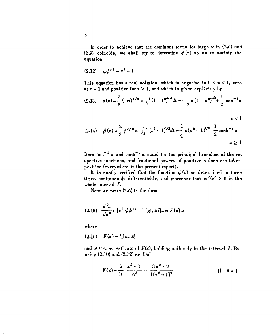In order to achieve that the dominant terms for large  $\nu$  in (2.6) and (2.9) coincide, we shall try to determine  $\phi(x)$  so as to satisfy the equation

$$
(2.12) \quad \phi \phi^{\prime 2} = x^2 - 1
$$

This equation has a real solution, which is negative in  $0 \le x < 1$ , zero at  $x = 1$  and positive for  $x > 1$ , and which is given explicitly by

$$
(2.13) \quad a(x) = \frac{2}{3}(-\phi)^{3/2} = \int_x^1 (1-t^2)^{1/2} dt = -\frac{1}{2}x(1-x^2)^{1/2} + \frac{1}{2}\cos^{-1}x
$$

$$
(2.14) \quad \beta(x) = \frac{2}{3} \phi^{3/2} = \int_1^x (t^2 - 1)^{1/2} dt = \frac{1}{2} x (x^2 - 1)^{1/2} - \frac{1}{2} \cosh^{-1} x
$$

$$
x \ge 1
$$

Here  $\cos^{-1} x$  and  $\cosh^{-1} x$  stand for the principal branches of the respective functions, and fractional powers of positive values are taken positive (everywhere in the present report).

It is easily verified that the function  $\phi(x)$  so determined is three times continuously differentiable, and moreover that  $\phi'(x) > 0$  in the whole interval  $I$ .

Next we write  $(2,6)$  in the form

(2.15) 
$$
\frac{d^2u}{dx^2} + \left[\nu^2 \phi \phi'^2 + \frac{1}{2}[\phi, x]\right]u = F(x)u
$$

where

$$
(2.16) \tF(x) = \frac{1}{2}[\phi, x]
$$

and obtain an estimate of  $F(x)$ , holding uniformly in the interval  $I$ , By using (2.10) and (2.12) we find

$$
F(x) = \frac{5}{16} \frac{x^2 - 1}{\phi^3} - \frac{3x^2 + 2}{4(x^2 - 1)^2}
$$
if  $x \neq 1$ 

 $\overline{\mathbf{4}}$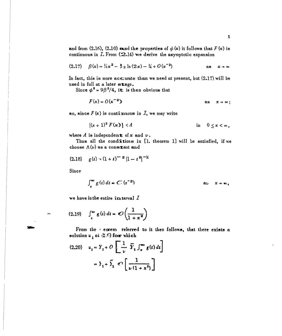and from (2.16), (2.10) and the properties of  $\phi(x)$  it follows that  $F(x)$  is continuous in  $I$ . From  $(2.14)$  we derive the asymptotic expansion

$$
(2.17) \quad \beta(x) = \frac{1}{2}x^2 - \frac{1}{2} \ln(2x) - \frac{1}{4} + O(x^{-2}) \qquad \text{as} \quad x \to \infty
$$

In fact, this is more accurate than we need at present, but  $(2.17)$  will be used in full at a later stage.

Since  $\phi^3 = 9\beta^2/4$ , it is then obvious that

$$
F(x) = O(x^{-2})
$$
 as  $x \to \infty$ ;

so, since  $F(x)$  is continuous in  $I$ , we may write

$$
|(x+1)^2 F(x)| < A \qquad \qquad \text{in} \quad 0 \leq x < \infty,
$$

where  $A$  is independent of  $x$  and  $\nu$ .

Thus all the conditions in [1. theorem 1] will be satisfied, if we choose  $\Lambda(\nu)$  as a constant and

$$
(2.18) \t g(t) - (1+t)^{-2} |1-t^2|^{-1/2}
$$

Since

 $\pm$ 

$$
\int_x^{\infty} g(t) dt = C(x^{-2})
$$
 as  $x \to \infty$ ,

we have in the entire interval  $I$ 

$$
(2.19) \quad \int_{x}^{\infty} g(t) \, dt = \mathcal{O}\left(\frac{1}{1+x^2}\right)
$$

From the *ceorem referred* to it then follows, that there exists a solution  $u_1$  oi  $(2,5)$  fow which

$$
(2.20) \quad u_1 = Y_1 + O\left[\frac{1}{\nu} \ \tilde{Y}_1 \int_x^{\infty} g(t) \, dt\right]
$$

$$
= Y_1 + \tilde{Y}_1 \ \mathcal{O}\left[\frac{1}{\nu(1 + x^2)}\right]
$$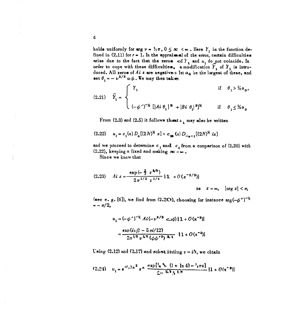holds uniformly for  $\arg \nu = \frac{1}{2}\pi$ ,  $0 \leq \infty < \infty$ . Here  $Y_i$  is the function defined in  $(2,11)$  for  $r = 1$ . In the appraise al of the error, certain difficulties arise due to the fact that the zeros of  $Y_1$  and  $u_t$  do not coincide. In order to cope with these difficulties, a modification  $Y<sub>1</sub>$  of  $Y<sub>1</sub>$  is introduced. All zeros of Ai z are negative = let  $a_0$  be the largest of these, and set  $\theta_1 = -v^{2/3} \omega \phi$ . We may then takes

(2.21) 
$$
\tilde{Y}_1 = \begin{cases} Y_1 & \text{if } \theta_1 > \frac{1}{2}a_0, \\ \\ (-\phi')^{-1/2} \left[ |Ai \theta_1|^2 + |Bi \theta_1|^2 \right]^{1/2} & \text{if } \theta_1 \leq \frac{1}{2}a_0. \end{cases}
$$

From  $(2.3)$  and  $(2.5)$  it follows thent  $u$ , may also be written

$$
(2.22) \t u_1 = c_1(n) D_n [(2N)^K x] + c_{\text{max}}(n) D_{n-1} [(2N)^K ix]
$$

and we proceed to determine  $c_1$  and  $c_2$  from a comparison of (2.20) with (2.22), keeping n fixed and making  $\infty \rightarrow \infty$ .

Since we know that

$$
(2.23) \quad Ai \ z = \frac{\exp{(-\frac{2}{3} \ z^{3/2})}}{2 \pi^{1/2} \ z^{1/4}} \left\{ 1 + O\left(z^{-3/2}\right) \right\}
$$

(see e. g. [6]), we find from (2.2C), choosing for instance  $\arg(-\phi^{\star})^{-1/2}$  $=-\pi/2$ ,

$$
u_1 = (-\phi')^{-\frac{1}{2}} Ai(-\nu^{2/3} \cos{\frac{1}{2}} 1 + O(x^{-2}))
$$

$$
= \frac{\exp(i\nu\beta - 5\pi i/12)}{2\pi^{\frac{1}{2}} \nu^{\frac{1}{2}} (\phi\phi'^2)^{\frac{1}{2}+1}} [1 + O(x^{-2})]
$$

Using (2.12) and (2.17) and substituting  $\nu = iN$ , we obtain

$$
(2.24) \quad u_{1} = e^{\frac{3x}{2} \left[ \lambda x^{2} \right]} x^{\frac{1}{2}} \frac{\exp\left[ \frac{1}{4} \lambda x \right] \left( 1 + \ln 4 \right) - \frac{1}{4} \pi i \right]}{2 \pi^{2} \left[ \lambda \frac{1}{2} \delta \right]} \left[ 1 + O(x^{-2}) \right]
$$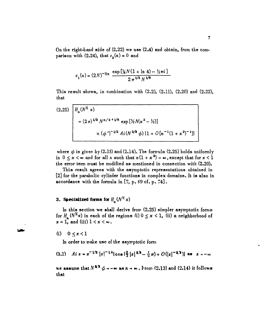On the right-hand side of  $(2.22)$  we use  $(2.4)$  and obtain, from the comparison with (2.24), that  $c_2(n) = 0$  and

$$
c_1(n) = (2N)^{-\frac{1}{2}n} \frac{\exp\left[\frac{1}{4}N(1 + \ln 4) - \frac{1}{2}\pi i\right]}{2\pi^{1/2}N^{1/6}}
$$

This result shows, in combination with  $(2.2)$ ,  $(2.11)$ ,  $(2.20)$  and  $(2.22)$ , that

$$
(2.25)
$$
\n
$$
\begin{bmatrix}\nH_n(N^2 x) \\
= (2\pi)^{1/2} N^{n/2 + 1/6} \exp\left[\frac{1}{2}N(x^2 - \frac{1}{2})\right] \\
\times (\phi')^{-1/2} Ai(N^{2/3} \phi) \{1 + O[n^{-1}(1 + x^2)^{-1}]\}\n\end{bmatrix}
$$

where  $\phi$  is given by (2.13) and (2.14). The formula (2.25) holds uniformly in  $0 \le x \le \infty$  and for all *n* such that  $n(1 + x^2) \rightarrow \infty$ , except that for  $x < 1$ the error term must be modified as mentioned in connection with (2.20).

This result agrees with the asymptotic representations obtained in [2) for the parabolic cylinder functions in complex domains. It is also in accordance with the formula in [7, p. 69 cf. p. 74].

# **3. Specialized forms for**  $H_n(N^2 x)$

In this section we shall derive frow **(2.25)** simpler asymptotic forms for  $H_n(N^Kx)$  in each of the regions (i)  $0 \le x < 1$ , (ii) a neighborhood of  $x = 1$ , and (iii)  $1 < x < \infty$ .

#### (i)  $0 \le x < 1$

In order to make use of the asymptotic form

$$
(3.1) \quad A i \, z = \pi^{-1/2} \left[ z \right]^{-1/4} \left[ \cos \left( \frac{2}{3} \right] z \right]^{3/2} - \frac{1}{4} \pi \right) + O \left( \left[ z \right]^{-3/2} \right) \quad \text{as} \quad z \to -\infty
$$

we assume that  $N^{2/3} \phi \rightarrow -\infty$  as  $n \rightarrow \infty$ . From (2.13) and (2.14) it follows that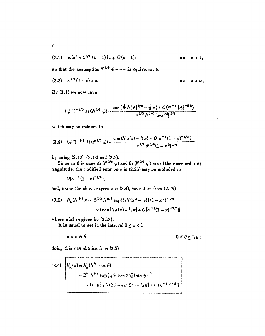$$
(3.2) \quad \phi(x) = \frac{6}{x} \sqrt[1]{x} (x-1) \{1+O(x-1)\}
$$
 as  $x \to 1$ ,

so that the assumption  $N^{2/2}$   $\phi \rightarrow -\infty$  is equivalent to

$$
(3.3) \quad n^{2/3}(1-x) \rightarrow \infty
$$
 as  $n \rightarrow \infty$ .

By (3.1) we now have

$$
(\phi')^{-1/2} Ai(N^{2/3} \phi) = \frac{\cos(\frac{2}{3} N |\phi|^{2/3} - \frac{1}{4} \pi) \cdot O(N^{-1} |\phi|^{-2/3})}{\pi^{1/3} N^{1/6} |\phi \phi|^2|^{1/4}}
$$

which may be reduced to

$$
(3.4) \quad (\phi')^{-1/2} \, Ai\,(N^{2/3}\,\phi) = \frac{\cos\,(N\,\alpha\,(x) - \frac{1}{4}\,n) + O\,(n^{-1}\,(1-x)^{-2/3}\,)}{n^{1/2}\,N^{1/6}\,(1-x^2)^{1/4}}
$$

by using (2.12), (2.13) and (3.2).<br>Sirce in this case  $Ai (N^{2/3} \phi)$  and  $Bi (N^{2/3} \phi)$  are of the same order of magnitude, the modified error term in (2.25) may be included in

 $O\{n^{-1}(1-x)^{-3/2}\}.$ 

and, using the above expression (3.4), we obtain from (2.25)

(3.5) 
$$
H_n(\Lambda^{1/2} x) = 2^{1/2} \Lambda^{n/2} \exp\left[\frac{1}{2}N(x^2 - \frac{1}{2})\right] (1 - x^2)^{-1/4}
$$

$$
\times \left[ \cos\left[\frac{N\alpha(x) - \frac{1}{2}n\right] + O\left[n^{-1}(1 - x)\right]^{-1/2} \right]
$$

where  $a(x)$  is given by (2.13).

 $\mathbb{R}^2$ 

It is usual to set in the interval  $0 \le x < 1$ 

$$
x = c \text{ is } \theta \qquad \qquad 0 < \theta \leq \frac{1}{4}\pi;
$$

doing this one obtains from (3.5)

(3.6) 
$$
H_n(z) = H_n(N^2 \cos \theta)
$$
  
=  $2^{3/4} \sqrt{3} \exp\{1.4 \cos 2\theta\} \sin \theta^{-3}$   
Area  $\left[4 \sqrt{3} \cdot 2 \theta - \sin 2\theta - 1.4 \pi\right] + O(\pi^{-1} \theta^{-3})$ 

 $\overline{g}$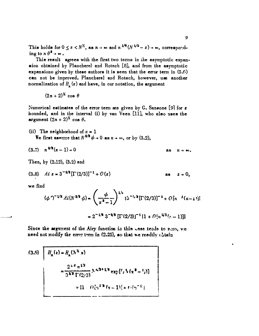This holds for  $0 \le z \le N^{\frac{1}{2}}$ , as  $n \to \infty$  and  $n^{1/6}(N^{1/2} - z) \to \infty$ , corresponding to  $n \theta^3 \rightarrow \infty$ .

This result agrees with the first two terms in the asymptotic expansion obtained by Plancherel and Rotach [8], and from the asymptotic expansions given by these authors it is seen that the error term in **(3.6)** can not be improved. Plancherel and Rotach, however, use another normalization of  $H_n(z)$  and have, in our notation, the argument

 $(2n+2)^{\frac{1}{2}}$  cos  $\theta$ 

Numerical estimates of the error term **are** given by **G.** Sansone **[91** for *z* bounded, and in the interval (i) by van Veen **[11],** who also uses the argument  $(2n + 2)^{\frac{1}{2}}$  cos  $\theta$ .

(ii) The neighborhood of  $x = 1$ We first assume that  $N^{2/3} \phi \rightarrow 0$  as  $n \rightarrow \infty$ , or by (3.2),

$$
(3.7) \quad n^{2/3}(x-1) \rightarrow 0 \qquad \qquad \text{as} \quad n \rightarrow \infty.
$$

Then, by (2.12), **(3,2)** and

(3.8) 
$$
Aiz = 3^{-2/3} [\Gamma(2/3)]^{-1} + O(z)
$$
 as  $z \to 0$ ,

we find

$$
(\phi')^{-1/2} \, Ai(N^{2/3} \phi) = \left(\frac{\phi}{x^2 - 1}\right)^{1/3} \left[3^{-1/3} [\Gamma(2/3)]^{-1} + O[n^{-3}(x - 1)]\right]
$$

$$
= 2^{-1/8} \, 3^{-2/3} \left[\Gamma(2/3)\right]^{-1} \left[1 + O\left[\frac{1}{2}\right]^{2/3}(x - 1)\right]
$$

Since the argument of the Airy function in this case tends to  $z=x_0$ , we need not modify the error term in (2.25), so that we readily obtain

(3.9) 
$$
\begin{bmatrix} H_n(z) = H_n(N^k x) \\ = \frac{2^{k/3} \pi^{k/2}}{3^{k/2} \Gamma(2/3)} N^{k/2 + k/6} \exp[t_2 V(x^2 - t_2)] \\ = \sqrt{[k+1] [t_2^{k/6} (x-1)] + t^4 (t_2^{-k})]}\end{bmatrix}
$$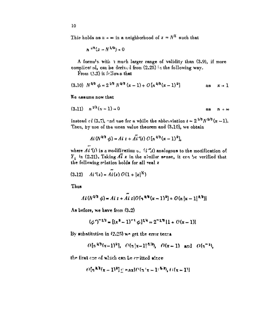This holds as  $n \to \infty$  in a neighborhood of  $z = N^{\frac{1}{2}}$  such that

$$
n^{1/6}(z-N^{1/2})\to 0
$$

A formula with a much larger range of validity than (3.9), if more complicated, can be derived from (2.25) in the following way.

From  $(3.2)$  it follows that

$$
(3.10) N^{2/3} \phi = 2^{1/3} N^{2/3} (x-1) + O[n^{2/3}(x-1)^2]
$$
 as  $x \to 1$ 

We assume now that

$$
(3.11) \quad n^{\sqrt{3}}(x-1) \to 0 \qquad \qquad \text{as} \qquad n \to \infty
$$

instead of (3.7), and use for a while the abbreviation  $t = 2^{1/3} N^{2/3} (x - 1)$ . Then, by use of the mean value theorem and (3.10), we obtain

$$
Ai (N^{2/3} \phi) = Ai t + A \tilde{i}'(t) O [n^{2/3} (x-1)^2],
$$

where  $Ai'(t)$  is a modification  $\sigma$ .  $\forall i''(t)$  analogous to the modification of  $Y_i$  in (2.21). Taking  $\widetilde{di}$  z in the similar sense, it can be verified that the following relation holds for all real z

$$
(3.12) \quad Ai'(z) = Ai(z) O(1+|z|^2)
$$

Thus

$$
Ai(N^{2/3} \phi) = Ai t + Ai t [O\{\eta^{2/3}(x-1)^2\} + O(n|x-1|^{5/2})]
$$

As before, we have from (3.2)

$$
(\phi')^{-1/2} = [(x^2 - 1)^{-1} \phi]^{1/4} = 2^{-1/8} [1 + O(x - 1)]
$$

By substitution in  $(2.25)$  we get the error terms

$$
\theta[n^{23}(x-1)^2], \ \theta(n|x-1|^{5/2}), \ \theta(x-1)
$$
 and  $\theta(n^{-1}),$ 

the first one of which can be critted since

$$
\ell^{\frac{n}{2}}[\tau^{\frac{n-2}{2}}(x-1)^{\frac{n}{2}}] \leq \max\{\ell^{\frac{n}{2}}[\tau^{\frac{1}{2}}(x-1)^{\frac{n-2}{2}}],\ell^{\frac{n}{2}}(x-1)]\}
$$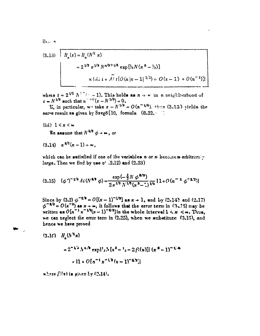Hen e

(3.13) 
$$
H_n(z) = H_n(N^2 \ x)
$$
  
=  $2^{1/3} \pi^{1/2} N^{n/2+1/6} \exp{\left[\frac{1}{2}N(x^2 - \frac{1}{2})\right]}$   
 $\times 14i t + 4i t [\mathcal{O}(n |z - 1|^{3/2}) \times O(x - 1) + O(n^{-1})]$ 

where  $t = 2^{\sqrt{3}} N^{7} (-1)$ . This holds as  $n \rightarrow \infty$  in a neighborhood of  $z = N^{1/2}$  such that  $u^{-1/6}(z - N^{1/2}) \rightarrow 0$ .

**E.** in particular, we take  $z = N^{1/2} = O(n^{-1/6})$ , show (3.13) yields the same result as given by Szegö [10, formula  $(8.22.1)$ ]

(iii)  $1 \leq x \leq \infty$ 

فكالأ

We assume that  $N^{2/3}$   $\phi \rightarrow \infty$ , or

 $(3.14)$   $n^{2/3}(x-1) \approx \infty$ .

which can be satisfied if one of the variables n or x becomes arbitrarily large. Then we find by use  $o'$  (2.12) and (2.23)

$$
(3.15) \quad (\phi')^{-1/2} \, Ai\,(N^{4/3}\,\phi) = \frac{\exp\left(-\frac{2}{3}N\,\phi^{4/3}\right)}{2\,\pi^{1/2}\,N^{1/6}\left(x^2-\frac{1}{2}\right)^{1/4}}\, \{1+O\,(n^{-1}\,\phi^{-4/2})\}
$$

Since by (3.2)  $\phi^{-3/2} = O[(x-1)^{-1/2}]$  as  $x \to 1$ , and by (2.14) and (2.17)  $\phi^{-3/2} = O(x^{-2})$  as  $x \to \omega$ , it follows that the error term in (3-25) may be written as  $O(n^{-1}x^{-1/2}(x-1)^{-1/2})$  in the whole interval  $1 < x < \infty$ . Thus, we can neglect the error term in  $(2.25)$ , when we substitute  $(3.15)$ , and hence we have proved

 $(3.10)$   $H_x(N^3x)$  $=2^{-1/2}h^{n/2}\exp{U_2N[x^2-1_2-2\beta(x)]]}(x^2-1)^{-1/4}$  $x 11 + O[a^{-1}x^{-1/2}(x-1)^{-1/2}]$ 

where  $\beta$ (x) is given by (2.14).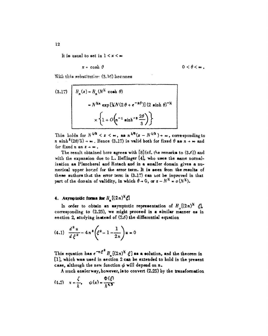It is usual to set in  $1 < x < \infty$ 

$$
x = \cosh \theta
$$

 $0 < \theta < \infty$ .

With this substitution (3.16) becomes

(3.17) 
$$
H_n(z) = H_n(N^{\frac{1}{2}} \cosh \theta)
$$

$$
= N^{\frac{1}{2}n} \exp[\frac{1}{2}N(2\theta + e^{-2\theta})](2 \sinh \theta)^{-\frac{1}{2}}
$$

$$
\times \left\{1 + O\left(n^{-1} \sinh^{-3} \frac{2\theta}{3}\right)\right\}
$$

This holds for  $N^{\frac{1}{2}} < z < \infty$ , as  $n^{\frac{1}{5}}(z - N^{\frac{1}{2}}) \rightarrow \infty$ , corresponding to *n* sinh<sup>3</sup>(2 $\theta$ /3)  $\rightarrow \infty$ . Hence (3.17) is valid both for fixed  $\theta$  as  $n \rightarrow \infty$  and for fixed n as  $z \rightarrow \infty$ .

The result obtained here agrees with  $[8]$  (cf. the remarks to  $(3.6)$ ) and with the expansion due to L. Heflinger [4], who uses the same normalization as Plancherel and Rotach and in a smaller domain gives a numerical upper bound for the error term. It is seen from the results of these authors that the error term in  $(3.17)$  can not be improved in that part of the domain of validity, in which  $\theta \to 0$ , or  $z - N^{\frac{1}{2}} = o(N^{\frac{1}{2}})$ .

# 4. Asymptotic forms for  $H_n[(2n)^k \xi]$

In order to obtain an asymptotic representation of  $H_a[(2n)^8 \xi]$ , corresponding to (2.25), we might proceed in a similar manner as in section 2, studying instead of  $(2.6)$  the differential equation

$$
(4.1) \quad \frac{d^2 u}{d \xi^2} - 4 \pi^2 \left( \xi^2 - 1 - \frac{1}{2\pi} \right) u = 0
$$

This equation has  $e^{-n\xi^2} H_n((2n)^N \xi)$  as a solution, and the theorem in [1], which was used in section 2 can be extended to hold in the present case, although the new function  $\phi$  will depend on  $n$ .

A much easier way, however, is to convert  $(2.25)$  by the transformation

$$
(4.2) \quad x = \frac{\zeta}{h}, \qquad \phi(x) = \frac{\Phi(\zeta)}{h^{4.5}}
$$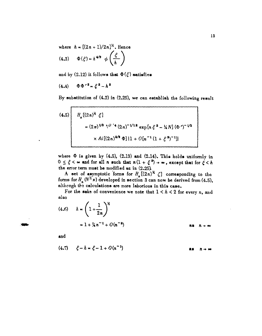where  $h = [(2n + 1)/2n]^{\frac{1}{2}}$ . Hence<br>
(4.3)  $\Phi(\xi) = h^{\frac{1}{2}} \phi\left(\frac{\xi}{h}\right)$  $(4.3)$ 

and by  $(2.12)$  it follows that  $\Phi(\xi)$  satisfies

$$
(4.4) \qquad \Phi \Phi'^2 = \xi^2 - h^2
$$

By substitution of (4.2) in **(2.25),** we can establish the following result

(4.5)  
\n
$$
H_n[(2n)^{\frac{1}{2}} \xi]
$$
\n
$$
= (2\pi)^{\frac{1}{2}} \sqrt[n]{(2n)^{-1/12}} \exp[n \xi^2 - \frac{1}{2}N] (\Phi')^{-1/2}
$$
\n
$$
\times Ai[(2n)^{2/3} \Phi][1 + O[n^{-1}(1 + \xi^2)^{-1}]]
$$

where  $\Phi$  is given by (4.3), (2.13) and (2.14). This holds uniformly in  $0 \leq \xi < \infty$  and for all *n* such that  $n(1 + \xi^2) \rightarrow \infty$ , except that for  $\xi < h$ the erfor term must be modified ac in  $(2.25)$ .

A set of asymptotic forms for  $H_{\bullet}[(2n)^{\frac{1}{2}} \zeta]$  corresponding to the forms for  $H_n(N^2 x)$  developed in section 3 can now be derived from (4.5), although the calculations are more laborious in this case.

For the sake of convenience we note that  $1 < h < 2$  for every n, and **also**

(4.6) 
$$
h = \left(1 + \frac{1}{2n}\right)^{\frac{1}{2}}
$$
  
=  $1 + \frac{1}{4}n^{-1} + O(n^{-2})$  as  $n \to \infty$ 

and

$$
(4.7) \quad \xi - h = \xi - 1 + O(n^{-1})
$$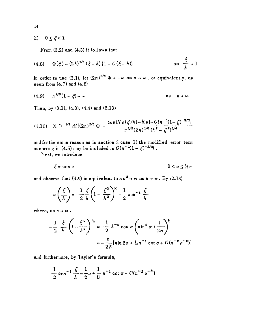(i)  $0 \le \xi < 1$ 

From (3.2) and (4.3) it follows that

(4.8) 
$$
\Phi(\xi) = (2 h)^{1/3} (\xi - h) \{1 + O(\xi - h)\}
$$
 as  $\frac{\xi}{h} \to 1$ 

In order to use (3.1), let  $(2n)^{2/3}$   $\Phi \rightarrow -\infty$  as  $n \rightarrow \infty$ , or equivalently, as seen from (4.7) and (4.8)

$$
(4.9) \t n2/3(1-\xi) \to \infty \t \text{as} \t n \to \infty
$$

Then, by (3.1), (4.3), (4.4) and (2.13)

$$
(4.10) \quad (\Phi')^{-1/2} \ Ai[(2n)^{2/3} \ \Phi] = \frac{\cos[N \ a(\xi/h) - \frac{1}{4} \pi] + O\{n^{-1}(1-\xi)^{-3/2}\}}{\pi^{1/2}(2n)^{1/6} \ (h^2-\xi^2)^{1/4}}
$$

and for the same reason as in section 3 case **(i)** the modified error term occurring in (4.5) may be included in  $O\{n^{-1}(1-\xi)^{-3/2}\}\$ .

'Next, we introduce

 $\mathbb{R}^2$ 

$$
\xi = \cos \sigma \qquad \qquad 0 < \sigma \leq \frac{1}{2}\pi
$$

and observe that  $(4.9)$  is equivalent to  $n \sigma^3 \rightarrow \infty$  as  $n \rightarrow \infty$ . By  $(2.13)$ 

$$
a\left(\frac{\xi}{h}\right) = -\frac{1}{2} \frac{\xi}{h} \left(1 - \frac{\xi^2}{h^2}\right)^{\frac{1}{2}} + \frac{1}{2} \cos^{-1} \frac{\xi}{h}
$$

where, as  $n \rightarrow \infty$ ,

$$
-\frac{1}{2} \frac{\xi}{h} \left(1 - \frac{\xi^2}{h^2}\right)^{\frac{1}{2}} = -\frac{1}{2} h^{-2} \cos \sigma \left(\sin^2 \sigma + \frac{1}{2n}\right)^{\frac{1}{2}}
$$

$$
= -\frac{n}{2N} [\sin 2\sigma + \frac{1}{2}n^{-1} \cot \sigma + O(n^{-2} \sigma^{-3})]
$$

and furthermore, **by** Taylor's formula,

$$
\frac{1}{2}\cos^{-1}\frac{\xi}{h} = \frac{1}{2}\sigma + \frac{1}{8}n^{-1}\cot\sigma + O(n^{-2}\sigma^{-3})
$$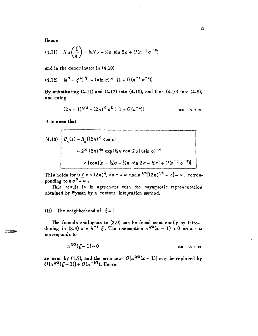15

Hence

(4.11) 
$$
N a \left( \frac{\xi}{h} \right) = \frac{1}{2} N x - \frac{1}{2} n \sin 2\sigma + O(n^{-1} \sigma^{-3})
$$

and in the denominator in (4.10)

$$
(4.12) \quad (h^2 - \xi^2)^{1/2} = (\sin \sigma)^{1/2} \{1 + O(n^{-1} \sigma^{-2})\}
$$

By substituting  $(4.11)$  and  $(4.12)$  into  $(4.10)$ , and then  $(4.10)$  into  $(4.5)$ , and using

$$
(2n+1)^{n/2} = (2n)^{n/2} e^{\frac{1}{2}} \{ 1 + O(n^{-1}) \}
$$
 as  $n \to \infty$ 

it is seen that

(4.13) 
$$
H_n(z) = H_n[(2n)^{\frac{1}{2}} \cos \sigma]
$$
  
=  $2^{\frac{1}{2}} (2n)^{\frac{1}{2}n} \exp[\frac{1}{2}n \cos \frac{r}{2} \sigma] (\sin \sigma)^{-\frac{1}{2}}$   
 $\times {\cos[(n - \frac{1}{2})\sigma - \frac{1}{2}n \sin 2\sigma - \frac{1}{4}n] + O(n^{-\frac{1}{2}}\sigma^{-3})}$ 

This holds for  $0 \leq z < (2n)^k$ , as  $n \to \infty$  and  $n^{1/6}[(2n)^{1/2} - z] \to \infty$ , corresponding to  $n \sigma^3 \rightarrow \infty$ .

This result is in agreement with the asymptotic representation obtained by Wyman by a contour integration method.

### (ii) The neighborhood of  $\xi = 1$

The formula analogous to (3.9) can be found most easily by intro-<br>ducing in (3.9)  $x = h^{-1} \xi$ . The *essumption*  $n^{2/3}(x - 1) \rightarrow 0$  as  $n \rightarrow \infty$ corresponds to

$$
n^{2/3}(\xi-1)\rightarrow 0
$$
 as  $n\rightarrow\infty$ 

as seen by (4.7), and the error term  $O[n^{2/3}(x-1)]$  may be replaced by  $O[n^{2/3}(\xi-1)] + O(n^{-1/3})$ . Hence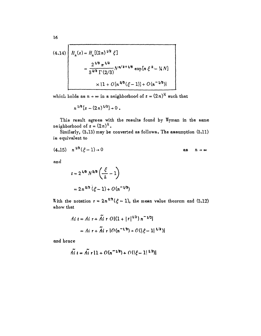$$
(4.14)
$$
\n
$$
H_n(z) = H_n[(2n)^{1/2} \xi]
$$
\n
$$
= \frac{2^{1/3} n^{1/2}}{3^{2/3} \Gamma(2/3)} N^{n/2 + 1/6} \exp[n \xi^2 - \frac{1}{4} N]
$$
\n
$$
\times \{1 + O[n^{2/3}(\xi - 1)] + O(n^{-1/3})\}
$$

which holds as  $n \to \infty$  in a neighborhood of  $z = (2n)^{\frac{1}{2}}$  such that

$$
n^{1/6}[z-(2\,n)^{1/2}]\rightarrow 0.
$$

This result agrees with the results found by Wyman in the same neighborhood of  $z = (2n)^k$ .

Similarly, (3.13) may be conveted as follows. The assumption (3.11) is equivalent to

$$
(4.15) \quad n^{\frac{1}{3}}(\xi-1) \to 0 \qquad \qquad \text{as} \qquad n \to \infty
$$

and

$$
t = 2^{1/3} N^{2/3} \left( \frac{\xi}{h} - 1 \right)
$$

$$
= 2 n^{2/3} (\xi - 1) + O(n^{-1/3})
$$

With the notation  $r = 2n^{2/3}(\xi - 1)$ , the mean value theorem and (3.12) show that

$$
Ai t = Ai r + \tilde{Ai} r O \{ (1 + |r|^{1/2}) n^{-1/2} \}
$$
  
= Ai r + \tilde{Ai} r O (n<sup>-1,3</sup>) + O (|\xi - 1|^{1/2})

and hence

$$
\widetilde{Ai} t = \widetilde{Ai} r \{1 + O(n^{-1/3}) + O(|\xi - 1|^{1/2})\}
$$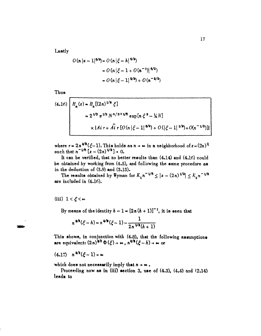Lastly

$$
O(n |x - 1|^{5/2}) = O(n |\xi - h|^{5/2})
$$
  
=  $O(n |\xi - 1 + O(n^{-1})|^{5/2})$   
=  $O(n |\xi - 1|^{5/2}) + O(n^{-3/2})$ 

Thus

(4.16)  
\n
$$
H_n(z) = H_n[(2n)^{1/2} \xi]
$$
\n
$$
= 2^{1/3} n^{1/2} N^{n/2+1/6} \exp[n \xi^2 - \frac{1}{2}N]
$$
\n
$$
\times \{Ai + Ai \cdot [O(n |\xi - 1|^{4/2}) + O(|\xi - 1|^{1/2}) + O(n^{-1/3})]\}
$$

where  $r = 2n^{2/3}(\xi-1)$ . This holds as  $n \to \infty$  in a neighborhood of  $z = (2n)^{\frac{1}{2}}$  $\text{such that } n^{-1/6} \left[ z - (2n)^{1/2} \right] \to 0.$ 

It can be verified, that no better results than (4.14) and (4.16) could be obtained by working from (4.5), and following the same procedure as in the deduction of **(3.9)** and **(3.13).**

The results obtained by Wyman for  $K_{\tau}n^{-1/6} \le |z-(2n)^{1/2}| \le K_{\sigma}n^{-1/6}$ are inc!uded in (4.16).

(iii)  $1 < \xi < \infty$ 

By means of the identity  $h - 1 = [2n(h + 1)]^{-1}$ , it is seen that

$$
n^{2/3}(\xi-h)=n^{2/3}(\xi-1)-\frac{1}{2n^{1/3}(h+1)}
$$

This shows, in conjunction with (4,8), that the following assumptions are equivalent:  $(2n)^{2/3} \Phi(\xi) \rightarrow \infty$ ,  $n^{2/3}(\xi - h) \rightarrow \infty$  or

 $(4.17)$   $n^{2/3}(\mathcal{E}-1)$  + to

which does not necessarily imply that  $n \rightarrow \infty$ .

Proceeding now as in (iii) section **3,** use of (4.3), (4.4) and 42.14) leads to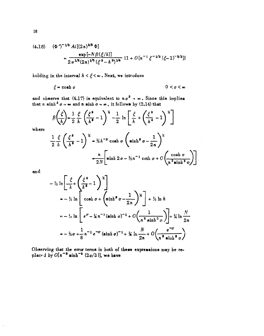(4.18) 
$$
(\Phi')^{-1/2} Ai[(2n)^{2/3} \Phi]
$$

$$
= \frac{\exp[-N\beta(\xi/h)]}{2\pi^{1/2}(2n)^{1/5} (\xi^2 - h^2)^{1/4}} [1 + O[n^{-1} \xi^{-1/2} (\xi-1)^{-3/2}]]
$$

holding in the interval  $h < \xi < \infty$ . Next, we introduce

$$
\xi = \cosh \sigma \qquad \qquad 0 < \sigma < \infty
$$

and observe that  $(4.17)$  is equivalent to  $n \sigma^3 \to \infty$ . Since this implies that  $n \sinh^2 \sigma \to \infty$  and  $n \sinh \sigma \to \infty$ , it follows by  $(2.14)$  that

$$
\beta\left(\frac{\xi}{h}\right) = \frac{1}{2}\frac{\xi}{h}\left(\frac{\xi^2}{h^2} - 1\right)^{\frac{1}{2}} - \frac{1}{2}\ln\left[\frac{\xi}{h} + \left(\frac{\xi^2}{h^2} - 1\right)^{\frac{1}{2}}\right]
$$

where

$$
\frac{1}{2} \frac{\xi}{\hbar} \left( \frac{\xi^2}{\hbar^2} - 1 \right)^{\frac{1}{2}} = \frac{1}{2} \hbar^{-2} \cosh \sigma \left( \sinh^2 \sigma - \frac{1}{2n} \right)^{\frac{1}{2}}
$$

$$
= \frac{n}{2N} \left[ \sinh 2\sigma - \frac{1}{2} n^{-1} \coth \sigma + O\left( \frac{\cosh \sigma}{n^2 \sinh^3 \sigma} \right) \right]
$$

 $and$ 

 $\|\cdot\|_e$ 

$$
\begin{aligned}\n&\frac{1}{2} \ln \left[ \frac{\xi}{h} + \left( \frac{\xi^2}{h^2} - 1 \right)^{\frac{N}{4}} \right] \\
&= -\frac{1}{2} \ln \left[ \cosh \sigma + \left( \sinh^2 \sigma - \frac{1}{2n} \right)^{\frac{N}{4}} \right] + \frac{1}{2} \ln h \\
&= -\frac{1}{2} \ln \left[ e^{\sigma} - \frac{1}{2} n^{-1} (\sinh \sigma)^{-1} + O \left( \frac{1}{n^2 \sinh^3 \sigma} \right) \right] + \frac{1}{4} \ln \frac{N}{2n} \\
&= -\frac{1}{2} \sigma + \frac{1}{8} n^{-1} e^{-\sigma} (\sinh \sigma)^{-1} + \frac{1}{4} \ln \frac{N}{2n} + O \left( \frac{e^{-\sigma}}{n^2 \sinh^3 \sigma} \right)\n\end{aligned}
$$

Observing that the error terms in both of these expressions may be replaced by  $O(n^{-2} \sinh^{-2} (2\sigma/3))$ , we have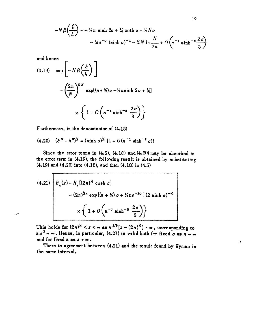$$
-N\beta\left(\frac{\xi}{h}\right) = -\frac{1}{2}n\sinh 2\sigma + \frac{1}{4}\coth \sigma + \frac{1}{2}N\sigma
$$

$$
-\frac{1}{4}e^{-\sigma}\left(\sinh \sigma\right)^{-1} - \frac{1}{4}N\ln\frac{N}{2n} + O\left(n^{-1}\sinh^{-3}\frac{2\sigma}{3}\right)
$$

and hence

 $\mathbf{\tau}$ 

(4.19) 
$$
\exp\left[-N\beta\left(\frac{\xi}{h}\right)\right]
$$

$$
=\left(\frac{2n}{N}\right)^{KN} \exp[(n+\frac{1}{2})\sigma - \frac{1}{2}n\sinh 2\sigma + \frac{1}{4}]
$$

$$
\times \left\{1 + O\left(n^{-1}\sinh^{-3}\frac{2\sigma}{3}\right)\right\}
$$

Furthermore, in the denominator of (4.18)

$$
(4.20) \quad (\xi^2 - h^2)^{1/2} = (\sinh \sigma)^{1/2} \{1 + O(n^{-1} \sinh^{-2} \sigma)\}
$$

Since the error terms in  $(4.5)$ ,  $(4.18)$  and  $(4.20)$  may be absorbed in the error term in (4.19), the following result is obtained by substituting  $(4.19)$  and  $(4.20)$  into  $(4.18)$ , and then  $(4.18)$  in  $(4.5)$ 

(4.21) 
$$
B_n(z) = B_n[(2n)^{X} \cosh \sigma]
$$
  
=  $(2n)^{Xn} \exp[(n + X) \sigma + Xn e^{-x} \sigma] (2 \sinh \sigma)^{-X}$   

$$
\times \left\{ 1 + O\left(n^{-1} \sinh^{-1} \frac{2\sigma}{3}\right) \right\}
$$

This holds for  $(2n)^k < z < \infty$  as  $n^{1/6}[z - (2n)^k] \rightarrow \infty$ , corresponding to  $n \sigma^3 \rightarrow \infty$ . Hence, in particular, (4.21) is valid both for fixed  $\sigma$  as  $n \rightarrow \infty$ and for fixed  $n$  as  $z \rightarrow \infty$ .

There is agreement between (4.21) and the result found by Wyman in the same interval.